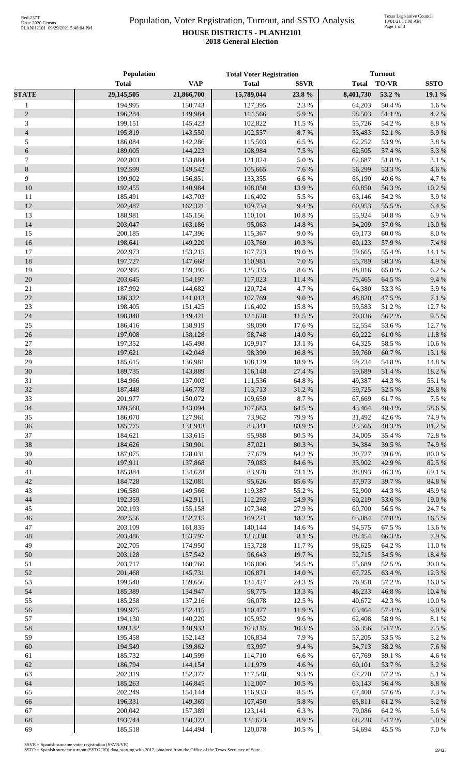## Population, Voter Registration, Turnout, and SSTO Analysis **HOUSE DISTRICTS - PLANH2101 2018 General Election**

|                  | <b>Population</b>  |                    | <b>Total Voter Registration</b> |                     | <b>Turnout</b>   |                 |                  |
|------------------|--------------------|--------------------|---------------------------------|---------------------|------------------|-----------------|------------------|
|                  | <b>Total</b>       | <b>VAP</b>         | <b>Total</b>                    | <b>SSVR</b>         | <b>Total</b>     | TO/VR           | <b>SSTO</b>      |
| <b>STATE</b>     | 29,145,505         | 21,866,700         | 15,789,044                      | 23.8 %              | 8,401,730        | 53.2 %          | 19.1 %           |
| $\mathbf{1}$     | 194,995            | 150,743            | 127,395                         | 2.3 %               | 64,203           | 50.4 %          | 1.6%             |
| $\sqrt{2}$       | 196,284            | 149,984            | 114,566                         | 5.9%                | 58,503           | 51.1 %          | 4.2 %            |
| $\mathfrak{Z}$   | 199,151            | 145,423            | 102,822                         | 11.5 %              | 55,726           | 54.2 %          | $8.8\ \%$        |
| $\overline{4}$   | 195,819            | 143,550            | 102,557                         | 8.7%                | 53,483           | 52.1 %          | 6.9%             |
| 5                | 186,084            | 142,286            | 115,503                         | 6.5 %               | 62,252           | 53.9%           | 3.8 %            |
| $\sqrt{6}$       | 189,005            | 144,223            | 108,984                         | 7.5 %               | 62,505           | 57.4 %          | 5.3 %            |
| $\boldsymbol{7}$ | 202,803            | 153,884            | 121,024                         | 5.0%                | 62,687           | 51.8%           | $3.1~\%$         |
| $\,8\,$          | 192,599            | 149,542            | 105,665                         | 7.6 %               | 56,299           | 53.3%           | 4.6%             |
| $\overline{9}$   | 199,902            | 156,851            | 133,355                         | 6.6%                | 66,190           | 49.6%           | 4.7%             |
| 10               | 192,455            | 140,984            | 108,050                         | 13.9%               | 60,850           | 56.3%           | 10.2 %           |
| 11               | 185,491            | 143,703            | 116,402                         | 5.5 %               | 63,146           | 54.2 %          | 3.9%             |
| 12               | 202,487            | 162,321            | 109,734                         | 9.4%                | 60,953           | 55.5 %          | 6.4 %            |
| 13<br>14         | 188,981<br>203,047 | 145,156<br>163,186 | 110,101<br>95,063               | $10.8~\%$<br>14.8 % | 55,924<br>54,209 | 50.8%<br>57.0 % | 6.9%<br>13.0%    |
| 15               | 200,185            | 147,396            | 115,367                         | $9.0\ \%$           | 69,173           | 60.0%           | 8.0%             |
| 16               | 198,641            | 149,220            | 103,769                         | $10.3~\%$           | 60,123           | 57.9%           | 7.4 %            |
| 17               | 202,973            | 153,215            | 107,723                         | 19.0%               | 59,665           | 55.4 %          | 14.1 %           |
| 18               | 197,727            | 147,668            | 110,981                         | $7.0\ \%$           | 55,789           | 50.3 %          | 4.9%             |
| 19               | 202,995            | 159,395            | 135,335                         | $8.6\;\%$           | 88,016           | 65.0%           | 6.2%             |
| $20\,$           | 203,645            | 154,197            | 117,023                         | $11.4\ \%$          | 75,465           | 64.5 %          | 9.4%             |
| $21\,$           | 187,992            | 144,682            | 120,724                         | 4.7%                | 64,380           | 53.3%           | 3.9%             |
| $22\,$           | 186,322            | 141,013            | 102,769                         | 9.0 %               | 48,820           | 47.5 %          | $7.1\ \%$        |
| 23               | 198,405            | 151,425            | 116,402                         | 15.8 %              | 59,583           | 51.2%           | 12.7%            |
| 24               | 198,848            | 149,421            | 124,628                         | 11.5 %              | 70,036           | 56.2%           | 9.5%             |
| 25               | 186,416            | 138,919            | 98,090                          | 17.6 %              | 52,554           | 53.6%           | 12.7%            |
| 26               | 197,008            | 138,128            | 98,748                          | 14.0 %              | 60,222           | 61.0%           | $11.8\ \%$       |
| $27\,$           | 197,352            | 145,498            | 109,917                         | 13.1 %              | 64,325           | 58.5 %          | 10.6%            |
| $28\,$           | 197,621            | 142,048            | 98,399                          | 16.8 %              | 59,760           | 60.7%           | 13.1 %           |
| 29               | 185,615            | 136,981            | 108,129                         | 18.9%               | 59,234           | 54.8 %          | 14.8 %           |
| 30               | 189,735            | 143,889            | 116,148                         | 27.4 %              | 59,689           | 51.4 %          | 18.2 %           |
| 31               | 184,966            | 137,003            | 111,536                         | 64.8 %              | 49,387           | 44.3 %          | 55.1 %           |
| 32               | 187,448            | 146,778            | 113,713                         | 31.2 %              | 59,725           | 52.5 %          | 28.8 %           |
| 33               | 201,977            | 150,072            | 109,659                         | 8.7%                | 67,669           | 61.7%           | 7.5 %            |
| 34               | 189,560            | 143,094            | 107,683                         | 64.5 %              | 43,464           | 40.4 %          | 58.6%            |
| 35               | 186,070            | 127,961            | 73,962                          | 79.9%               | 31,492           | 42.6 %          | 74.9%            |
| 36               | 185,775            | 131,913            | 83,341                          | 83.9%               | 33,565           | 40.3 %          | 81.2 %           |
| 37               | 184,621            | 133,615            | 95,988                          | 80.5 %              | 34,005           | 35.4 %          | 72.8 %           |
| 38               | 184,626            | 130,901            | 87,021                          | 80.3%               | 34,384           | 39.5 %          | 74.9%            |
| 39<br>40         | 187,075            | 128,031            | 77,679                          | 84.2 %<br>84.6%     | 30,727           | 39.6%           | $80.0\ \%$       |
|                  | 197,911<br>185,884 | 137,868<br>134,628 | 79,083                          |                     | 33,902<br>38,893 | 42.9%           | 82.5 %           |
| $41\,$<br>42     | 184,728            | 132,081            | 83,978<br>95,626                | 73.1 %<br>85.6%     | 37,973           | 46.3%<br>39.7%  | 69.1 %<br>84.8 % |
| 43               | 196,580            | 149,566            | 119,387                         | 55.2 %              | 52,900           | 44.3 %          | 45.9%            |
| 44               | 192,359            | 142,911            | 112,293                         | 24.9%               | 60,219           | 53.6%           | 19.0%            |
| $45\,$           | 202,193            | 155,158            | 107,348                         | 27.9%               | 60,700           | 56.5%           | 24.7%            |
| 46               | 202,556            | 152,715            | 109,221                         | 18.2 %              | 63,084           | 57.8 %          | 16.5 %           |
| 47               | 203,109            | 161,835            | 140,144                         | 14.6 %              | 94,575           | 67.5 %          | 13.6%            |
| 48               | 203,486            | 153,797            | 133,338                         | $8.1~\%$            | 88,454           | 66.3%           | 7.9%             |
| 49               | 202,705            | 174,950            | 153,728                         | 11.7%               | 98,625           | 64.2%           | 11.0%            |
| 50               | 203,128            | 157,542            | 96,643                          | 19.7%               | 52,715           | 54.5 %          | 18.4 %           |
| 51               | 203,717            | 160,760            | 106,006                         | 34.5 %              | 55,689           | 52.5 %          | $30.0\;\%$       |
| 52               | 201,468            | 145,731            | 106,871                         | 14.0 %              | 67,725           | 63.4 %          | 12.3 %           |
| 53               | 199,548            | 159,656            | 134,427                         | 24.3 %              | 76,958           | 57.2 %          | $16.0\ \%$       |
| 54               | 185,389            | 134,947            | 98,775                          | 13.3 %              | 46,233           | 46.8%           | 10.4 %           |
| 55               | 185,258            | 137,216            | 96,078                          | 12.5 %              | 40,672           | 42.3 %          | $10.0\ \%$       |
| 56               | 199,975            | 152,415            | 110,477                         | 11.9%               | 63,464           | 57.4 %          | 9.0 %            |
| 57               | 194,130            | 140,220            | 105,952                         | 9.6%                | 62,408           | 58.9%           | $8.1~\%$         |
| 58               | 189,132            | 140,933            | 103,115                         | 10.3 %              | 56,356           | 54.7%           | 7.5 %            |
| 59               | 195,458            | 152,143            | 106,834                         | 7.9%                | 57,205           | 53.5 %          | 5.2 %            |
| 60               | 194,549            | 139,862            | 93,997                          | 9.4%                | 54,713           | 58.2 %          | 7.6 %            |
| 61               | 185,732            | 140,599            | 114,710                         | 6.6%                | 67,769           | 59.1 %          | 4.6 %            |
| 62               | 186,794            | 144,154            | 111,979                         | 4.6%                | 60,101           | 53.7%           | 3.2 %            |
| 63               | 202,319            | 152,377            | 117,548                         | 9.3%                | 67,270           | 57.2 %          | $8.1~\%$         |
| 64               | 185,263            | 146,845            | 112,007                         | $10.5~\%$           | 63,143           | 56.4 %          | $8.8\ \%$        |
| 65<br>66         | 202,249<br>196,331 | 154,144<br>149,369 | 116,933<br>107,450              | 8.5%<br>$5.8~\%$    | 67,400<br>65,811 | 57.6%<br>61.2%  | 7.3 %<br>5.2 %   |
| 67               | 200,042            | 157,389            | 123,141                         | $6.3~\%$            | 79,086           | 64.2%           | 5.6%             |
| 68               | 193,744            | 150,323            | 124,623                         | $8.9\ \%$           | 68,228           | 54.7 %          | $5.0\ \%$        |
| 69               | 185,518            | 144,494            | 120,078                         | 10.5 %              | 54,694           | 45.5 %          | $7.0\ \%$        |
|                  |                    |                    |                                 |                     |                  |                 |                  |

SSVR = Spanish surname voter registration (SSVR/VR) SSTO = Spanish surname turnout (SSTO/TO) data, starting with 2012, obtained from the Office of the Texas Secretary of State.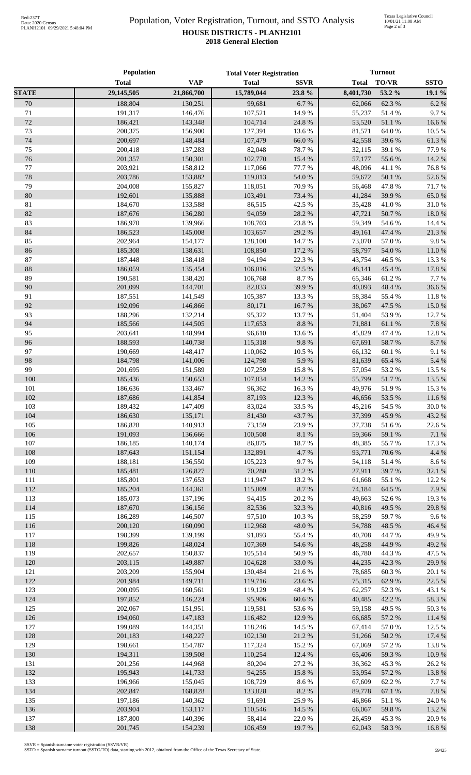## Population, Voter Registration, Turnout, and SSTO Analysis **HOUSE DISTRICTS - PLANH2101 2018 General Election**

|              | Population         |                    | <b>Total Voter Registration</b> |                 | <b>Turnout</b>   |                  |                 |
|--------------|--------------------|--------------------|---------------------------------|-----------------|------------------|------------------|-----------------|
|              | <b>Total</b>       | <b>VAP</b>         | <b>Total</b>                    | <b>SSVR</b>     | <b>Total</b>     | TO/VR            | <b>SSTO</b>     |
| <b>STATE</b> | 29,145,505         | 21,866,700         | 15,789,044                      | 23.8%           | 8,401,730        | 53.2 %           | 19.1 %          |
| 70           | 188,804            | 130,251            | 99,681                          | 6.7%            | 62,066           | 62.3 %           | 6.2%            |
| 71           | 191,317            | 146,476            | 107,521                         | 14.9%           | 55,237           | 51.4%            | 9.7%            |
| 72           | 186,421            | 143,348            | 104,714                         | 24.8 %          | 53,520           | 51.1%            | 16.6%           |
| 73           | 200,375            | 156,900            | 127,391                         | 13.6 %          | 81,571           | 64.0%            | 10.5 %          |
| 74           | 200,697            | 148,484            | 107,479                         | 66.0%           | 42,558           | 39.6%            | 61.3%           |
| 75           | 200,418            | 137,283            | 82,048                          | 78.7%           | 32,115           | 39.1 %           | 77.9 %          |
| 76           | 201,357            | 150,301            | 102,770                         | 15.4 %          | 57,177           | 55.6%            | 14.2 %          |
| 77           | 203,921            | 158,812            | 117,066                         | 77.7 %          | 48,096           | 41.1%            | 76.8%           |
| 78           | 203,786            | 153,882            | 119,013                         | 54.0 %          | 59,672           | 50.1 %           | 52.6%           |
| 79           | 204,008            | 155,827            | 118,051                         | 70.9%           | 56,468           | 47.8%            | 71.7%           |
| 80           | 192,601            | 135,888            | 103,491                         | 73.4 %          | 41,284           | 39.9%            | 65.0%           |
| 81           | 184,670            | 133,588            | 86,515                          | 42.5 %          | 35,428           | 41.0%            | 31.0%           |
| 82           | 187,676            | 136,280            | 94,059                          | 28.2 %          | 47,721           | 50.7%            | 18.0%           |
| 83           | 186,970            | 139,966            | 108,703                         | 23.8 %          | 59,349           | 54.6 %           | 14.4 %          |
| 84           | 186,523            | 145,008            | 103,657                         | 29.2 %          | 49,161           | 47.4 %           | 21.3%           |
| 85           | 202,964            | 154,177            | 128,100                         | 14.7%           | 73,070           | 57.0%            | 9.8%            |
| 86           | 185,308            | 138,631            | 108,850                         | 17.2 %          | 58,797           | 54.0%            | 11.0%           |
| 87           | 187,448            | 138,418            | 94,194                          | 22.3 %          | 43,754           | 46.5 %           | 13.3 %          |
| 88           | 186,059            | 135,454            | 106,016                         | 32.5 %          | 48,141           | 45.4 %           | 17.8 %          |
| 89           | 190,581            | 138,420            | 106,768                         | 8.7%            | 65,346           | 61.2%            | 7.7 %           |
| 90           | 201,099            | 144,701            | 82,833                          | 39.9%           | 40,093           | 48.4%            | 36.6%           |
| 91           | 187,551            | 141,549            | 105,387                         | 13.3 %<br>16.7% | 58,384           | 55.4 %           | 11.8%           |
| 92<br>93     | 192,096<br>188,296 | 146,866            | 80,171                          | 13.7%           | 38,067           | 47.5 %           | 15.0%           |
| 94           | 185,566            | 132,214<br>144,505 | 95,322<br>117,653               | $8.8\ \%$       | 51,404<br>71,881 | 53.9%<br>61.1%   | 12.7 %<br>7.8%  |
| 95           | 203,641            | 148,994            | 96,610                          | 13.6 %          | 45,829           | 47.4 %           | 12.8 %          |
| 96           | 188,593            | 140,738            | 115,318                         | 9.8%            | 67,691           | 58.7%            | 8.7%            |
| 97           | 190,669            | 148,417            | 110,062                         | 10.5 %          | 66,132           | 60.1%            | 9.1%            |
| 98           | 184,798            | 141,006            | 124,798                         | 5.9%            | 81,639           | 65.4 %           | 5.4 %           |
| 99           | 201,695            | 151,589            | 107,259                         | 15.8 %          | 57,054           | 53.2 %           | 13.5 %          |
| 100          | 185,436            | 150,653            | 107,834                         | 14.2 %          | 55,799           | 51.7%            | 13.5 %          |
| 101          | 186,636            | 133,467            | 96,362                          | 16.3 %          | 49,976           | 51.9%            | 15.3 %          |
| 102          | 187,686            | 141,854            | 87,193                          | 12.3 %          | 46,656           | 53.5%            | 11.6%           |
| 103          | 189,432            | 147,409            | 83,024                          | 33.5 %          | 45,216           | 54.5 %           | 30.0%           |
| 104          | 186,630            | 135,171            | 81,430                          | 43.7%           |                  | 37,399 45.9 %    | 43.2%           |
| 105          | 186,828            | 140,913            | 73,159                          | 23.9%           | 37,738           | 51.6%            | 22.6 %          |
| 106          | 191,093            | 136,666            | 100,508                         | $8.1~\%$        | 59,366           | 59.1 %           | 7.1 %           |
| 107          | 186,185            | 140,174            | 86,875                          | 18.7%           | 48,385           | 55.7%            | 17.3 %          |
| 108          | 187,643            | 151,154            | 132,891                         | 4.7%            | 93,771           | 70.6%            | 4.4 %           |
| 109          | 188,181            | 136,550            | 105,223                         | 9.7%            | 54,118           | 51.4 %           | 8.6%            |
| 110          | 185,481            | 126,827            | 70,280                          | 31.2 %          | 27,911           | 39.7%            | 32.1 %          |
| 111          | 185,801            | 137,653            | 111,947                         | 13.2 %          | 61,668           | 55.1 %           | 12.2 %          |
| 112          | 185,204            | 144,361            | 115,009                         | 8.7 %           | 74,184           | 64.5 %           | 7.9%            |
| 113          | 185,073            | 137,196            | 94,415                          | $20.2~\%$       | 49,663           | 52.6%            | 19.3 %          |
| 114          | 187,670            | 136,156            | 82,536                          | 32.3 %          | 40,816           | 49.5 %           | 29.8%           |
| 115          | 186,289            | 146,507            | 97,510                          | 10.3%           | 58,259           | 59.7%            | 9.6%            |
| 116          | 200,120            | 160,090            | 112,968                         | 48.0%           | 54,788           | 48.5%            | 46.4%           |
| 117          | 198,399            | 139,199            | 91,093                          | 55.4 %          | 40,708           | 44.7%            | 49.9%           |
| 118          | 199,826            | 148,024            | 107,369                         | 54.6 %          | 48,258           | 44.9%            | 49.2 %          |
| 119          | 202,657            | 150,837            | 105,514                         | $50.9\ \%$      | 46,780           | 44.3 %           | 47.5 %          |
| 120          | 203,115            | 149,887            | 104,628                         | 33.0 %          | 44,235           | 42.3 %           | 29.9%           |
| 121          | 203,209            | 155,904            | 130,484                         | 21.6%           | 78,685           | 60.3%            | 20.1 %          |
| 122<br>123   | 201,984            | 149,711            | 119,716                         | 23.6 %          | 75,315<br>62,257 | 62.9%            | 22.5 %          |
| 124          | 200,095<br>197,852 | 160,561<br>146,224 | 119,129<br>95,906               | 48.4%<br>60.6%  | 40,485           | 52.3 %<br>42.2 % | 43.1 %<br>58.3% |
| 125          | 202,067            | 151,951            | 119,581                         | 53.6%           | 59,158           | 49.5 %           | 50.3%           |
| 126          | 194,060            | 147,183            | 116,482                         | 12.9%           | 66,685           | 57.2 %           | 11.4 %          |
| 127          | 199,089            | 144,351            | 118,246                         | 14.5 %          | 67,414           | 57.0%            | 12.5 %          |
| 128          | 201,183            | 148,227            | 102,130                         | 21.2 %          | 51,266           | 50.2%            | 17.4 %          |
| 129          | 198,661            | 154,787            | 117,324                         | 15.2 %          | 67,069           | 57.2 %           | 13.8%           |
| 130          | 194,311            | 139,508            | 110,254                         | 12.4 %          | 65,406           | 59.3%            | 10.9%           |
| 131          | 201,256            | 144,968            | 80,204                          | 27.2 %          | 36,362           | 45.3%            | 26.2%           |
| 132          | 195,943            | 141,733            | 94,255                          | 15.8 %          | 53,954           | 57.2 %           | 13.8%           |
| 133          | 196,966            | 155,045            | 108,729                         | 8.6%            | 67,609           | 62.2%            | 7.7 %           |
| 134          | 202,847            | 168,828            | 133,828                         | 8.2%            | 89,778           | 67.1 %           | 7.8%            |
| 135          | 197,186            | 140,362            | 91,691                          | 25.9%           | 46,866           | 51.1%            | 24.0%           |
| 136          | 203,904            | 153,117            | 110,546                         | 14.5 %          | 66,067           | 59.8%            | 13.2 %          |
| 137          | 187,800            | 140,396            | 58,414                          | 22.0%           | 26,459           | 45.3%            | 20.9%           |
| 138          | 201,745            | 154,239            | 106,459                         | 19.7%           | 62,043           | 58.3%            | 16.8%           |